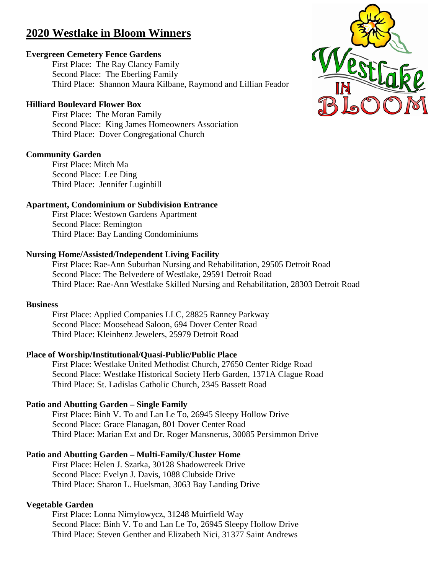# **2020 Westlake in Bloom Winners**

### **Evergreen Cemetery Fence Gardens**

First Place: The Ray Clancy Family Second Place: The Eberling Family Third Place: Shannon Maura Kilbane, Raymond and Lillian Feador

### **Hilliard Boulevard Flower Box**

First Place: The Moran Family Second Place: King James Homeowners Association Third Place: Dover Congregational Church

### **Community Garden**

First Place: Mitch Ma Second Place: Lee Ding Third Place: Jennifer Luginbill

#### **Apartment, Condominium or Subdivision Entrance**

First Place: Westown Gardens Apartment Second Place: Remington Third Place: Bay Landing Condominiums

### **Nursing Home/Assisted/Independent Living Facility**

First Place: Rae-Ann Suburban Nursing and Rehabilitation, 29505 Detroit Road Second Place: The Belvedere of Westlake, 29591 Detroit Road Third Place: Rae-Ann Westlake Skilled Nursing and Rehabilitation, 28303 Detroit Road

#### **Business**

First Place: Applied Companies LLC, 28825 Ranney Parkway Second Place: Moosehead Saloon, 694 Dover Center Road Third Place: Kleinhenz Jewelers, 25979 Detroit Road

# **Place of Worship/Institutional/Quasi-Public/Public Place**

First Place: Westlake United Methodist Church, 27650 Center Ridge Road Second Place: Westlake Historical Society Herb Garden, 1371A Clague Road Third Place: St. Ladislas Catholic Church, 2345 Bassett Road

# **Patio and Abutting Garden – Single Family**

First Place: Binh V. To and Lan Le To, 26945 Sleepy Hollow Drive Second Place: Grace Flanagan, 801 Dover Center Road Third Place: Marian Ext and Dr. Roger Mansnerus, 30085 Persimmon Drive

# **Patio and Abutting Garden – Multi-Family/Cluster Home**

First Place: Helen J. Szarka, 30128 Shadowcreek Drive Second Place: Evelyn J. Davis, 1088 Clubside Drive Third Place: Sharon L. Huelsman, 3063 Bay Landing Drive

# **Vegetable Garden**

First Place: Lonna Nimylowycz, 31248 Muirfield Way Second Place: Binh V. To and Lan Le To, 26945 Sleepy Hollow Drive Third Place: Steven Genther and Elizabeth Nici, 31377 Saint Andrews